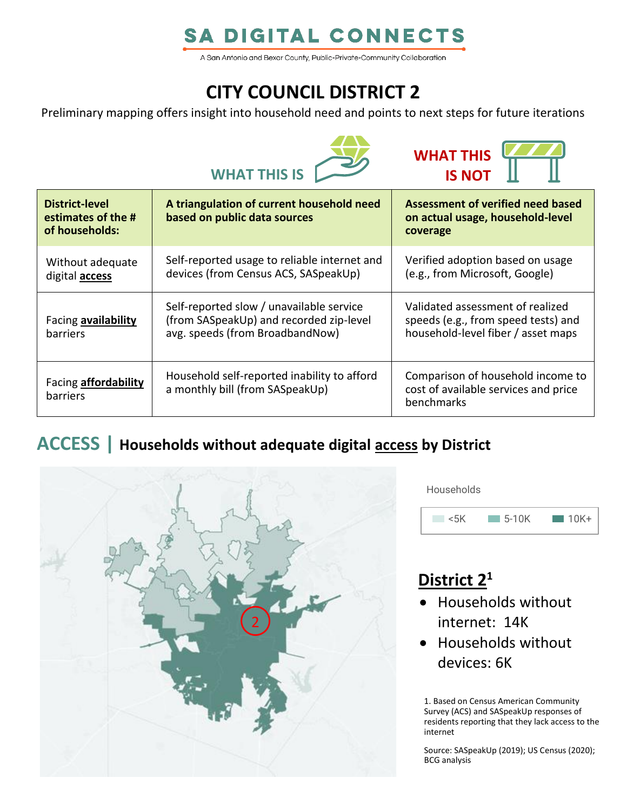# **SA DIGITAL CONNECTS**

A San Antonio and Bexar County, Public-Private-Community Collaboration

# **CITY COUNCIL DISTRICT 2**

Preliminary mapping offers insight into household need and points to next steps for future iterations





| District-level<br>estimates of the #<br>of households: | A triangulation of current household need<br>based on public data sources                                              | Assessment of verified need based<br>on actual usage, household-level<br>coverage                             |
|--------------------------------------------------------|------------------------------------------------------------------------------------------------------------------------|---------------------------------------------------------------------------------------------------------------|
| Without adequate<br>digital <b>access</b>              | Self-reported usage to reliable internet and<br>devices (from Census ACS, SASpeakUp)                                   | Verified adoption based on usage<br>(e.g., from Microsoft, Google)                                            |
| Facing availability<br><b>barriers</b>                 | Self-reported slow / unavailable service<br>(from SASpeakUp) and recorded zip-level<br>avg. speeds (from BroadbandNow) | Validated assessment of realized<br>speeds (e.g., from speed tests) and<br>household-level fiber / asset maps |
| Facing <b>affordability</b><br>barriers                | Household self-reported inability to afford<br>a monthly bill (from SASpeakUp)                                         | Comparison of household income to<br>cost of available services and price<br>benchmarks                       |

### **ACCESS | Households without adequate digital access by District**



**Households** 



## **District 2 1**

- Households without internet: 14K
- Households without devices: 6K

1. Based on Census American Community Survey (ACS) and SASpeakUp responses of residents reporting that they lack access to the internet

Source: SASpeakUp (2019); US Census (2020); BCG analysis